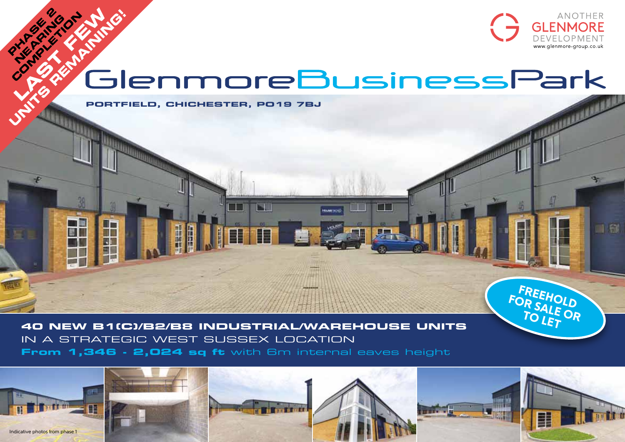

FREEHOLD<br>DR SAILLD FOR SALE OR  $\sim$ 

 $\Box$  and

# **NEAR REMAINING!**

n Ni

**PORTFIELD, CHICHESTER, PO19 7BJ**

H

**PHASE 2** 

R

H

**40 NEW B1(C)/B2/B8 INDUSTRIAL/WAREHOUSE UNITS** in a strategic West Sussex location **From 1,346 - 2,024 sq ft** with 6m internal eaves height

N